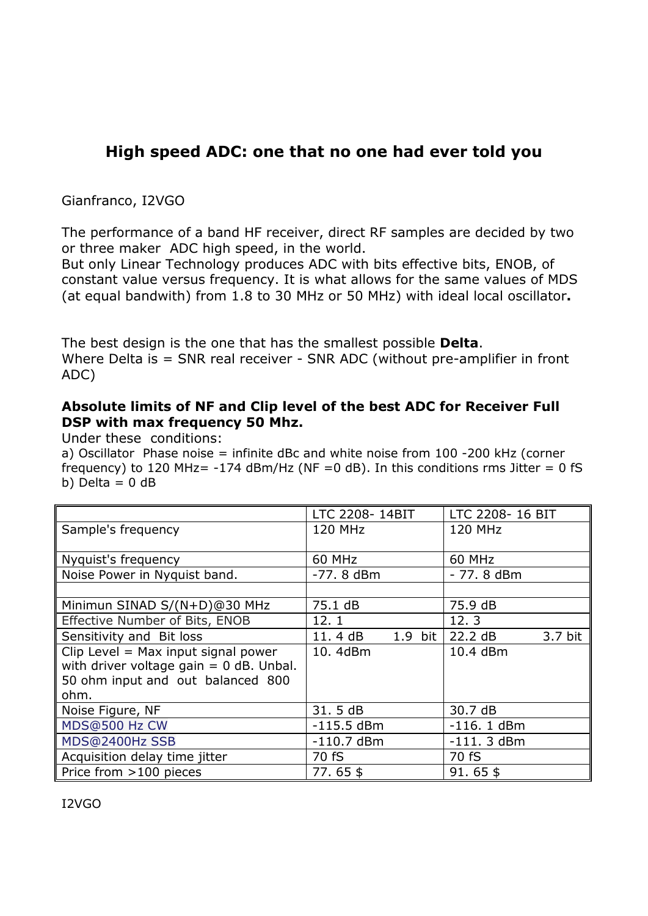## **High speed ADC: one that no one had ever told you**

## Gianfranco, I2VGO

The performance of a band HF receiver, direct RF samples are decided by two or three maker ADC high speed, in the world.

But only Linear Technology produces ADC with bits effective bits, ENOB, of constant value versus frequency. It is what allows for the same values of MDS (at equal bandwith) from 1.8 to 30 MHz or 50 MHz) with ideal local oscillator**.** 

The best design is the one that has the smallest possible **Delta**. Where Delta is = SNR real receiver - SNR ADC (without pre-amplifier in front ADC)

## **Absolute limits of NF and Clip level of the best ADC for Receiver Full DSP with max frequency 50 Mhz.**

Under these conditions:

a) Oscillator Phase noise = infinite dBc and white noise from 100 -200 kHz (corner frequency) to 120 MHz=  $-174$  dBm/Hz (NF = 0 dB). In this conditions rms Jitter = 0 fS b) Delta  $= 0$  dB

|                                           | LTC 2208-14BIT |         | LTC 2208-16 BIT |         |
|-------------------------------------------|----------------|---------|-----------------|---------|
| Sample's frequency                        | 120 MHz        |         | <b>120 MHz</b>  |         |
|                                           |                |         |                 |         |
| Nyquist's frequency                       | <b>60 MHz</b>  |         | 60 MHz          |         |
| Noise Power in Nyquist band.              | $-77.8$ dBm    |         | - 77.8 dBm      |         |
|                                           |                |         |                 |         |
| Minimun SINAD S/(N+D)@30 MHz              | 75.1 dB        |         | 75.9 dB         |         |
| Effective Number of Bits, ENOB            | 12.1           |         | 12.3            |         |
| Sensitivity and Bit loss                  | 11.4 dB        | 1.9 bit | 22.2 dB         | 3.7 bit |
| Clip Level = Max input signal power       | 10.4dBm        |         | 10.4 dBm        |         |
| with driver voltage gain $= 0$ dB. Unbal. |                |         |                 |         |
| 50 ohm input and out balanced 800         |                |         |                 |         |
| ohm.                                      |                |         |                 |         |
| Noise Figure, NF                          | 31.5 dB        |         | 30.7 dB         |         |
| MDS@500 Hz CW                             | $-115.5$ dBm   |         | $-116.1$ dBm    |         |
| MDS@2400Hz SSB                            | $-110.7$ dBm   |         | $-111.3$ dBm    |         |
| Acquisition delay time jitter             | 70 fS          |         | 70 fS           |         |
| Price from >100 pieces                    | $77.65$ \$     |         | $91.65$ \$      |         |

I2VGO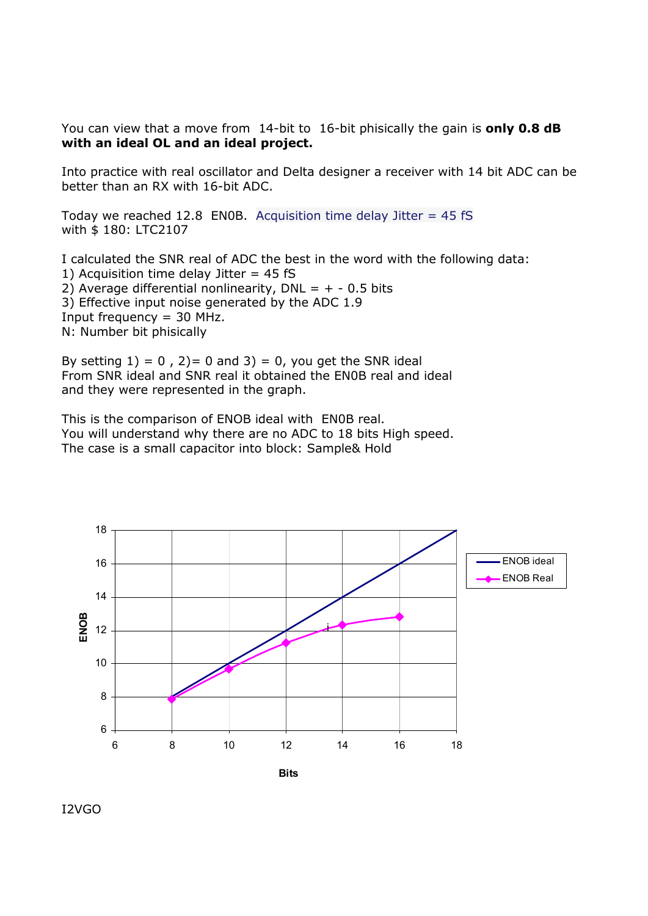You can view that a move from 14-bit to 16-bit phisically the gain is **only 0.8 dB with an ideal OL and an ideal project.** 

Into practice with real oscillator and Delta designer a receiver with 14 bit ADC can be better than an RX with 16-bit ADC.

Today we reached 12.8 EN0B. Acquisition time delay Jitter =  $45 \text{ fs}$ with \$ 180: LTC2107

I calculated the SNR real of ADC the best in the word with the following data: 1) Acquisition time delay Jitter  $= 45$  fS 2) Average differential nonlinearity, DNL =  $+ - 0.5$  bits 3) Effective input noise generated by the ADC 1.9 Input frequency  $=$  30 MHz. N: Number bit phisically

By setting  $1$ ) = 0, 2) = 0 and  $3$ ) = 0, you get the SNR ideal From SNR ideal and SNR real it obtained the EN0B real and ideal and they were represented in the graph.

This is the comparison of ENOB ideal with EN0B real. You will understand why there are no ADC to 18 bits High speed. The case is a small capacitor into block: Sample& Hold



I2VGO